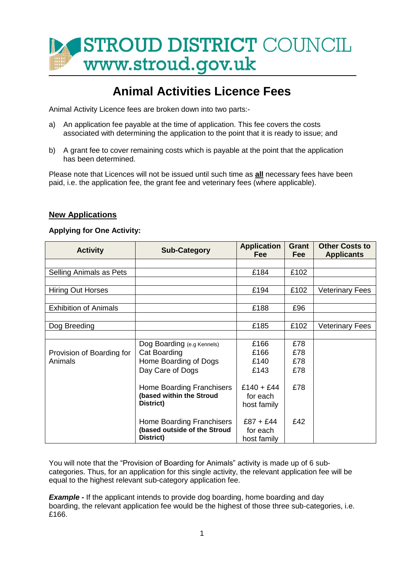

# **Animal Activities Licence Fees**

Animal Activity Licence fees are broken down into two parts:-

- a) An application fee payable at the time of application. This fee covers the costs associated with determining the application to the point that it is ready to issue; and
- b) A grant fee to cover remaining costs which is payable at the point that the application has been determined.

Please note that Licences will not be issued until such time as **all** necessary fees have been paid, i.e. the application fee, the grant fee and veterinary fees (where applicable).

#### **New Applications**

#### **Applying for One Activity:**

| <b>Activity</b>              | <b>Sub-Category</b>          | <b>Application</b><br>Fee | <b>Grant</b><br><b>Fee</b> | <b>Other Costs to</b><br><b>Applicants</b> |
|------------------------------|------------------------------|---------------------------|----------------------------|--------------------------------------------|
|                              |                              |                           |                            |                                            |
| Selling Animals as Pets      |                              | £184                      | £102                       |                                            |
|                              |                              |                           |                            |                                            |
| <b>Hiring Out Horses</b>     |                              | £194                      | £102                       | <b>Veterinary Fees</b>                     |
|                              |                              |                           |                            |                                            |
| <b>Exhibition of Animals</b> |                              | £188                      | £96                        |                                            |
|                              |                              |                           |                            |                                            |
| Dog Breeding                 |                              | £185                      | £102                       | <b>Veterinary Fees</b>                     |
|                              |                              |                           |                            |                                            |
|                              | Dog Boarding (e.g Kennels)   | £166                      | £78                        |                                            |
| Provision of Boarding for    | Cat Boarding                 | £166                      | £78                        |                                            |
| Animals                      | Home Boarding of Dogs        | £140                      | £78                        |                                            |
|                              | Day Care of Dogs             | £143                      | £78                        |                                            |
|                              |                              |                           |                            |                                            |
|                              | Home Boarding Franchisers    | $£140 + £44$              | £78                        |                                            |
|                              | (based within the Stroud     | for each                  |                            |                                            |
|                              | District)                    | host family               |                            |                                            |
|                              |                              |                           |                            |                                            |
|                              | Home Boarding Franchisers    | $£87 + £44$               | £42                        |                                            |
|                              | (based outside of the Stroud | for each                  |                            |                                            |
|                              | District)                    | host family               |                            |                                            |

You will note that the "Provision of Boarding for Animals" activity is made up of 6 subcategories. Thus, for an application for this single activity, the relevant application fee will be equal to the highest relevant sub-category application fee.

**Example** - If the applicant intends to provide dog boarding, home boarding and day boarding, the relevant application fee would be the highest of those three sub-categories, i.e. £166.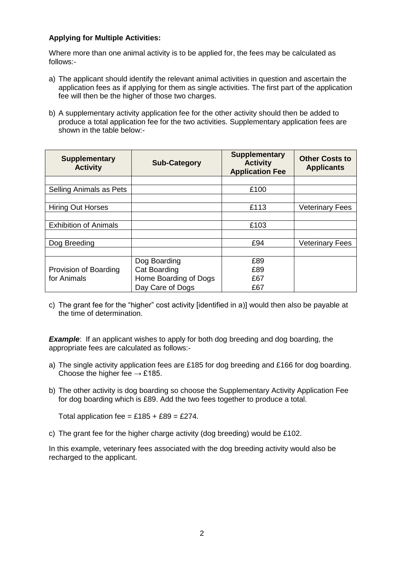#### **Applying for Multiple Activities:**

Where more than one animal activity is to be applied for, the fees may be calculated as follows:-

- a) The applicant should identify the relevant animal activities in question and ascertain the application fees as if applying for them as single activities. The first part of the application fee will then be the higher of those two charges.
- b) A supplementary activity application fee for the other activity should then be added to produce a total application fee for the two activities. Supplementary application fees are shown in the table below:-

| <b>Supplementary</b><br><b>Activity</b> | <b>Sub-Category</b>   | <b>Supplementary</b><br><b>Activity</b><br><b>Application Fee</b> | <b>Other Costs to</b><br><b>Applicants</b> |
|-----------------------------------------|-----------------------|-------------------------------------------------------------------|--------------------------------------------|
|                                         |                       |                                                                   |                                            |
| Selling Animals as Pets                 |                       | £100                                                              |                                            |
|                                         |                       |                                                                   |                                            |
| <b>Hiring Out Horses</b>                |                       | £113                                                              | <b>Veterinary Fees</b>                     |
|                                         |                       |                                                                   |                                            |
| <b>Exhibition of Animals</b>            |                       | £103                                                              |                                            |
|                                         |                       |                                                                   |                                            |
| Dog Breeding                            |                       | £94                                                               | <b>Veterinary Fees</b>                     |
|                                         |                       |                                                                   |                                            |
|                                         | Dog Boarding          | £89                                                               |                                            |
| Provision of Boarding                   | <b>Cat Boarding</b>   | £89                                                               |                                            |
| for Animals                             | Home Boarding of Dogs | £67                                                               |                                            |
|                                         | Day Care of Dogs      | £67                                                               |                                            |

c) The grant fee for the "higher" cost activity [identified in a)] would then also be payable at the time of determination.

**Example:** If an applicant wishes to apply for both dog breeding and dog boarding, the appropriate fees are calculated as follows:-

- a) The single activity application fees are £185 for dog breeding and £166 for dog boarding. Choose the higher fee  $\rightarrow$  £185.
- b) The other activity is dog boarding so choose the Supplementary Activity Application Fee for dog boarding which is £89. Add the two fees together to produce a total.

Total application fee =  $£185 + £89 = £274$ .

c) The grant fee for the higher charge activity (dog breeding) would be £102.

In this example, veterinary fees associated with the dog breeding activity would also be recharged to the applicant.